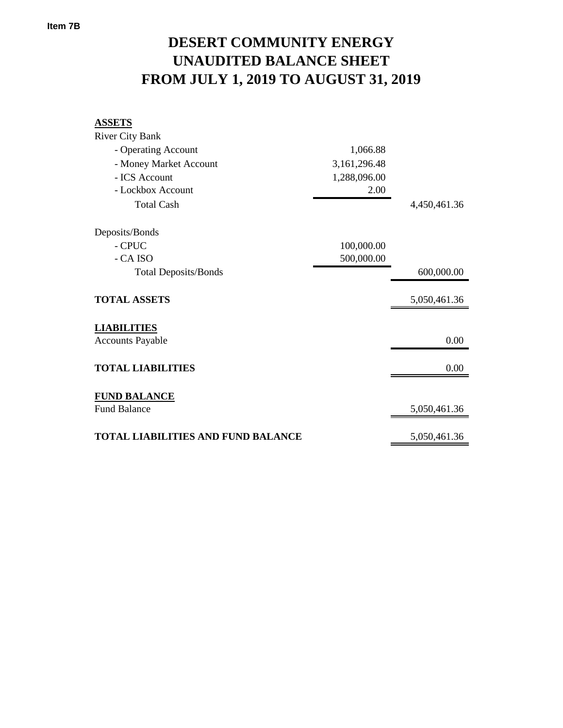## **FROM JULY 1, 2019 TO AUGUST 31, 2019 UNAUDITED BALANCE SHEET DESERT COMMUNITY ENERGY**

| <b>ASSETS</b>                             |              |              |
|-------------------------------------------|--------------|--------------|
| <b>River City Bank</b>                    |              |              |
| - Operating Account                       | 1,066.88     |              |
| - Money Market Account                    | 3,161,296.48 |              |
| - ICS Account                             | 1,288,096.00 |              |
| - Lockbox Account                         | 2.00         |              |
| <b>Total Cash</b>                         |              | 4,450,461.36 |
| Deposits/Bonds                            |              |              |
| - CPUC                                    | 100,000.00   |              |
| - CA ISO                                  | 500,000.00   |              |
| <b>Total Deposits/Bonds</b>               |              | 600,000.00   |
| <b>TOTAL ASSETS</b>                       |              | 5,050,461.36 |
| <b>LIABILITIES</b>                        |              |              |
| <b>Accounts Payable</b>                   |              | 0.00         |
| <b>TOTAL LIABILITIES</b>                  |              | 0.00         |
| <b>FUND BALANCE</b>                       |              |              |
| <b>Fund Balance</b>                       |              | 5,050,461.36 |
| <b>TOTAL LIABILITIES AND FUND BALANCE</b> |              | 5,050,461.36 |